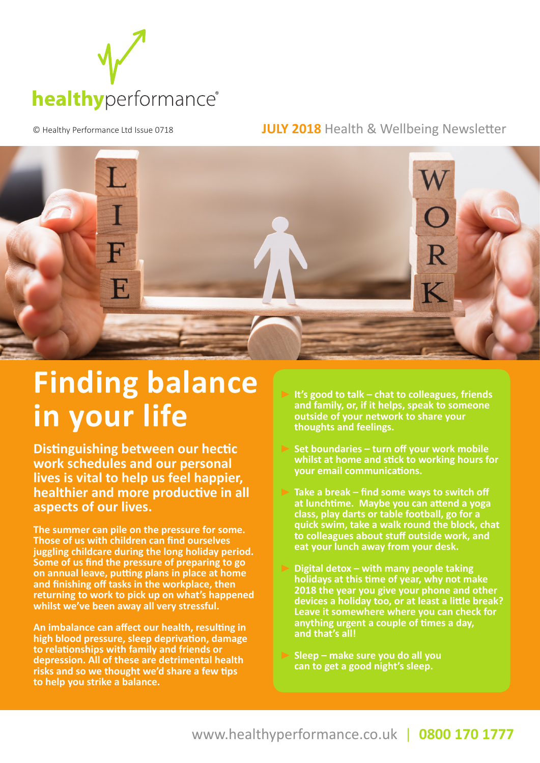

© Healthy Performance Ltd Issue 0718 **JULY 2018** Health & Wellbeing Newsletter



## **Finding balance in your life**

**Distinguishing between our hectic work schedules and our personal lives is vital to help us feel happier, healthier and more productive in all aspects of our lives.**

**The summer can pile on the pressure for some. Those of us with children can find ourselves juggling childcare during the long holiday period. Some of us find the pressure of preparing to go on annual leave, putting plans in place at home and finishing off tasks in the workplace, then returning to work to pick up on what's happened whilst we've been away all very stressful.**

**An imbalance can affect our health, resulting in high blood pressure, sleep deprivation, damage to relationships with family and friends or depression. All of these are detrimental health risks and so we thought we'd share a few tips to help you strike a balance.**

 **It's good to talk – chat to colleagues, friends and family, or, if it helps, speak to someone outside of your network to share your thoughts and feelings.**

- **Set boundaries turn off your work mobile whilst at home and stick to working hours for your email communications.**
- **Take a break find some ways to switch off at lunchtime. Maybe you can attend a yoga class, play darts or table football, go for a quick swim, take a walk round the block, chat to colleagues about stuff outside work, and eat your lunch away from your desk.**
- **Digital detox with many people taking holidays at this time of year, why not make 2018 the year you give your phone and other devices a holiday too, or at least a little break? Leave it somewhere where you can check for anything urgent a couple of times a day, and that's all!**
- **Sleep make sure you do all you can to get a good night's sleep.**